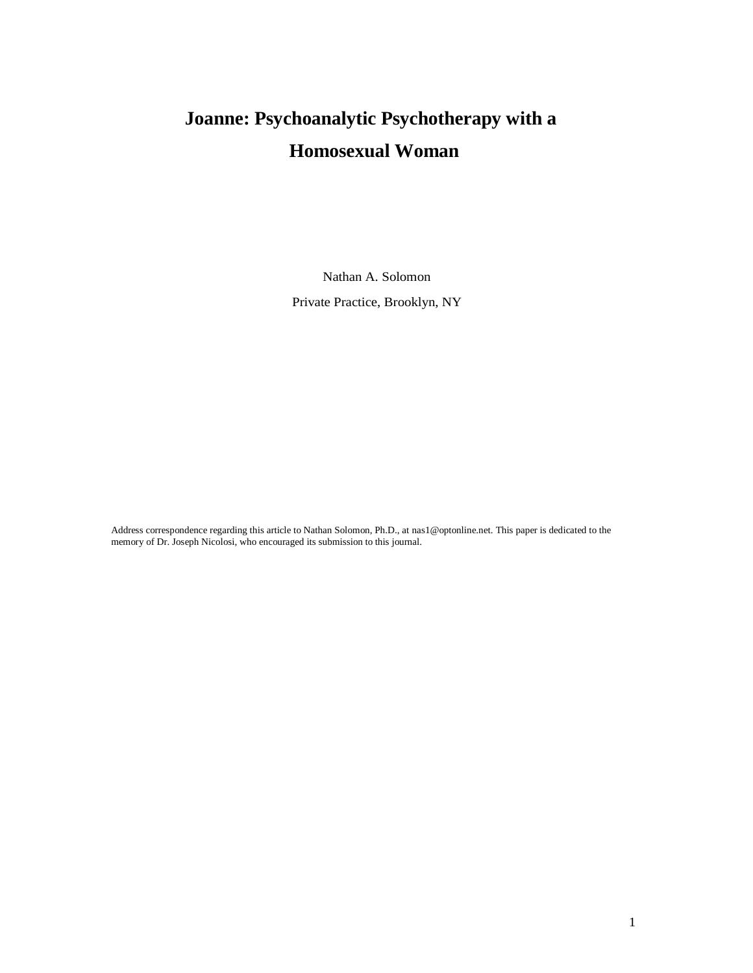Nathan A. Solomon

Private Practice, Brooklyn, NY

Address correspondence regarding this article to Nathan Solomon, Ph.D., at [nas1@optonline.net. T](mailto:nas1@optonline.net)his paper is dedicated to the memory of Dr. Joseph Nicolosi, who encouraged its submission to this journal.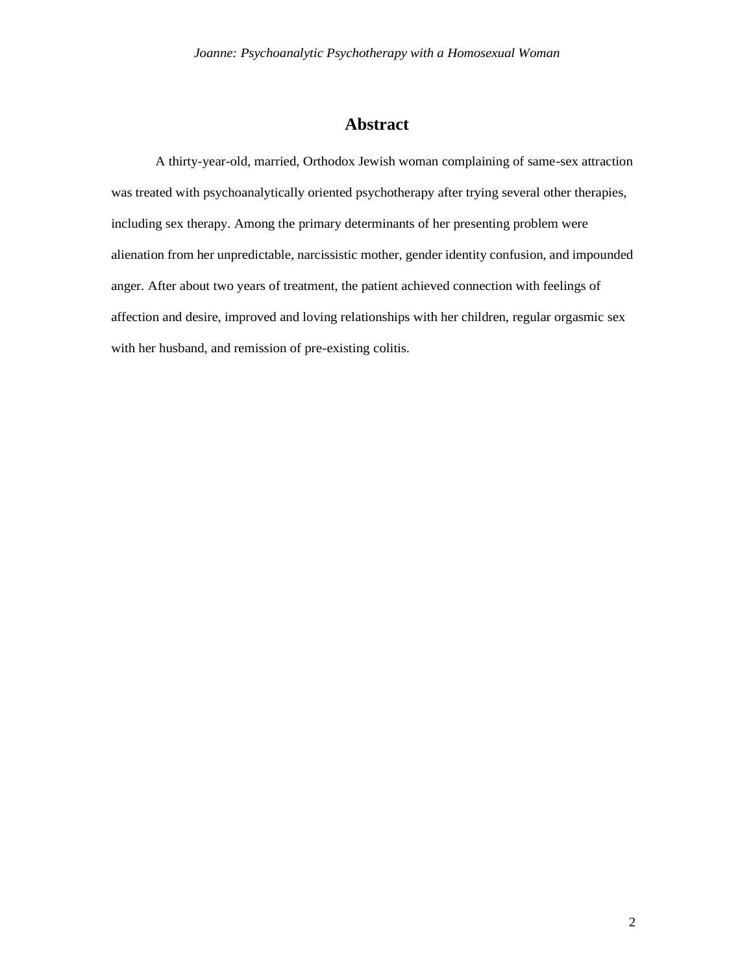# **Abstract**

A thirty-year-old, married, Orthodox Jewish woman complaining of same-sex attraction was treated with psychoanalytically oriented psychotherapy after trying several other therapies, including sex therapy. Among the primary determinants of her presenting problem were alienation from her unpredictable, narcissistic mother, gender identity confusion, and impounded anger. After about two years of treatment, the patient achieved connection with feelings of affection and desire, improved and loving relationships with her children, regular orgasmic sex with her husband, and remission of pre-existing colitis.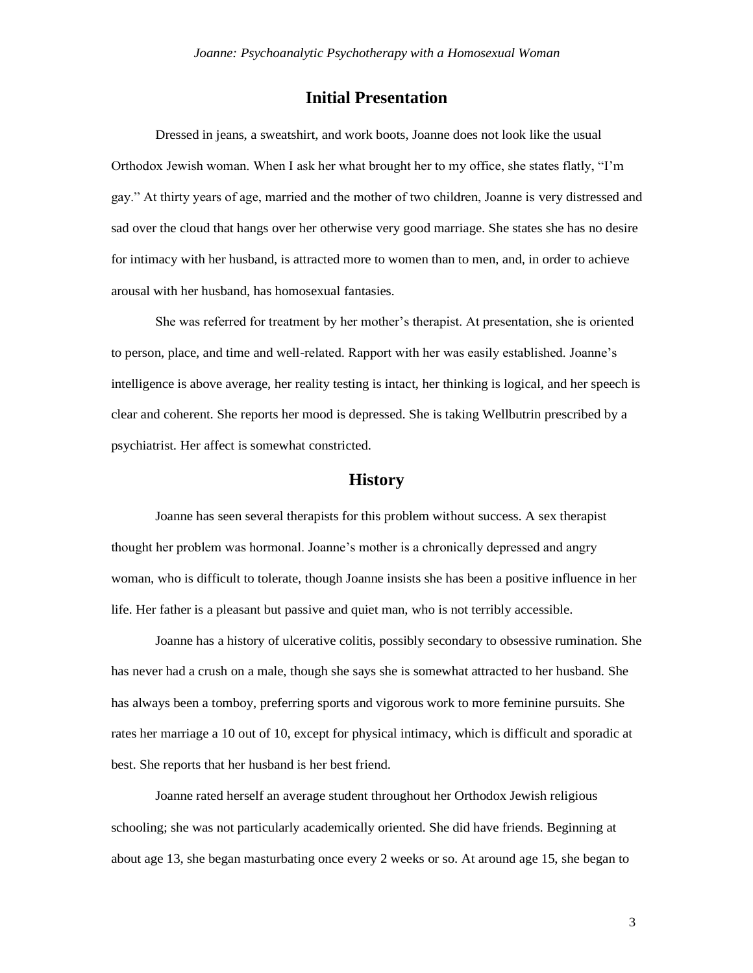# **Initial Presentation**

Dressed in jeans, a sweatshirt, and work boots, Joanne does not look like the usual Orthodox Jewish woman. When I ask her what brought her to my office, she states flatly, "I'm gay." At thirty years of age, married and the mother of two children, Joanne is very distressed and sad over the cloud that hangs over her otherwise very good marriage. She states she has no desire for intimacy with her husband, is attracted more to women than to men, and, in order to achieve arousal with her husband, has homosexual fantasies.

She was referred for treatment by her mother's therapist. At presentation, she is oriented to person, place, and time and well-related. Rapport with her was easily established. Joanne's intelligence is above average, her reality testing is intact, her thinking is logical, and her speech is clear and coherent. She reports her mood is depressed. She is taking Wellbutrin prescribed by a psychiatrist. Her affect is somewhat constricted.

## **History**

Joanne has seen several therapists for this problem without success. A sex therapist thought her problem was hormonal. Joanne's mother is a chronically depressed and angry woman, who is difficult to tolerate, though Joanne insists she has been a positive influence in her life. Her father is a pleasant but passive and quiet man, who is not terribly accessible.

Joanne has a history of ulcerative colitis, possibly secondary to obsessive rumination. She has never had a crush on a male, though she says she is somewhat attracted to her husband. She has always been a tomboy, preferring sports and vigorous work to more feminine pursuits. She rates her marriage a 10 out of 10, except for physical intimacy, which is difficult and sporadic at best. She reports that her husband is her best friend.

Joanne rated herself an average student throughout her Orthodox Jewish religious schooling; she was not particularly academically oriented. She did have friends. Beginning at about age 13, she began masturbating once every 2 weeks or so. At around age 15, she began to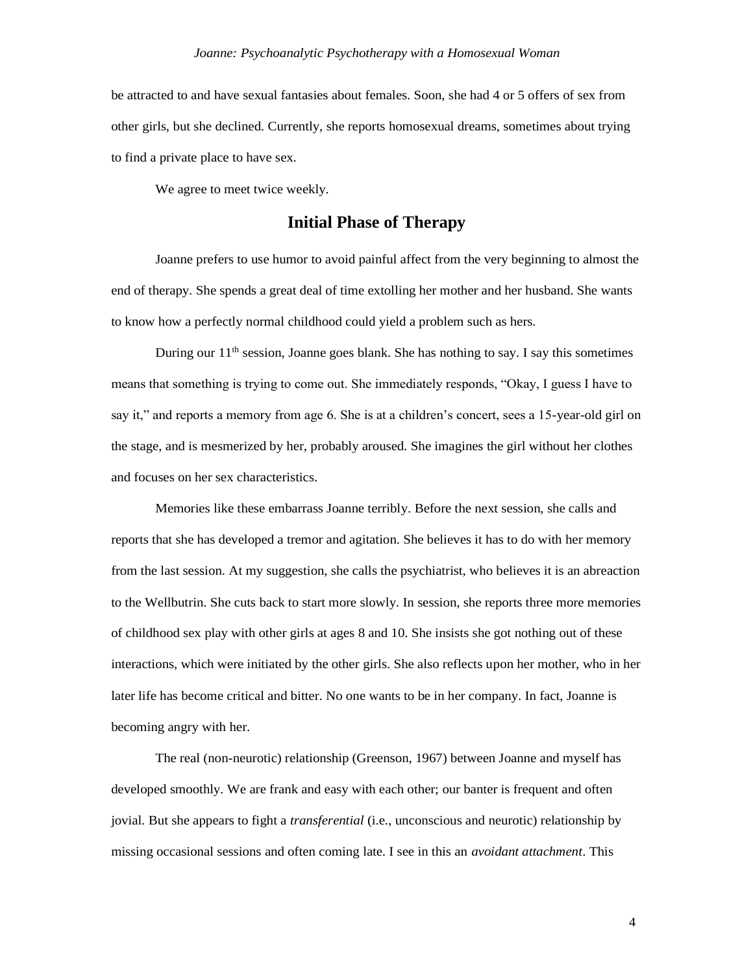be attracted to and have sexual fantasies about females. Soon, she had 4 or 5 offers of sex from other girls, but she declined. Currently, she reports homosexual dreams, sometimes about trying to find a private place to have sex.

We agree to meet twice weekly.

### **Initial Phase of Therapy**

Joanne prefers to use humor to avoid painful affect from the very beginning to almost the end of therapy. She spends a great deal of time extolling her mother and her husband. She wants to know how a perfectly normal childhood could yield a problem such as hers.

During our  $11<sup>th</sup>$  session, Joanne goes blank. She has nothing to say. I say this sometimes means that something is trying to come out. She immediately responds, "Okay, I guess I have to say it," and reports a memory from age 6. She is at a children's concert, sees a 15-year-old girl on the stage, and is mesmerized by her, probably aroused. She imagines the girl without her clothes and focuses on her sex characteristics.

Memories like these embarrass Joanne terribly. Before the next session, she calls and reports that she has developed a tremor and agitation. She believes it has to do with her memory from the last session. At my suggestion, she calls the psychiatrist, who believes it is an abreaction to the Wellbutrin. She cuts back to start more slowly. In session, she reports three more memories of childhood sex play with other girls at ages 8 and 10. She insists she got nothing out of these interactions, which were initiated by the other girls. She also reflects upon her mother, who in her later life has become critical and bitter. No one wants to be in her company. In fact, Joanne is becoming angry with her.

The real (non-neurotic) relationship (Greenson, 1967) between Joanne and myself has developed smoothly. We are frank and easy with each other; our banter is frequent and often jovial. But she appears to fight a *transferential* (i.e., unconscious and neurotic) relationship by missing occasional sessions and often coming late. I see in this an *avoidant attachment*. This

4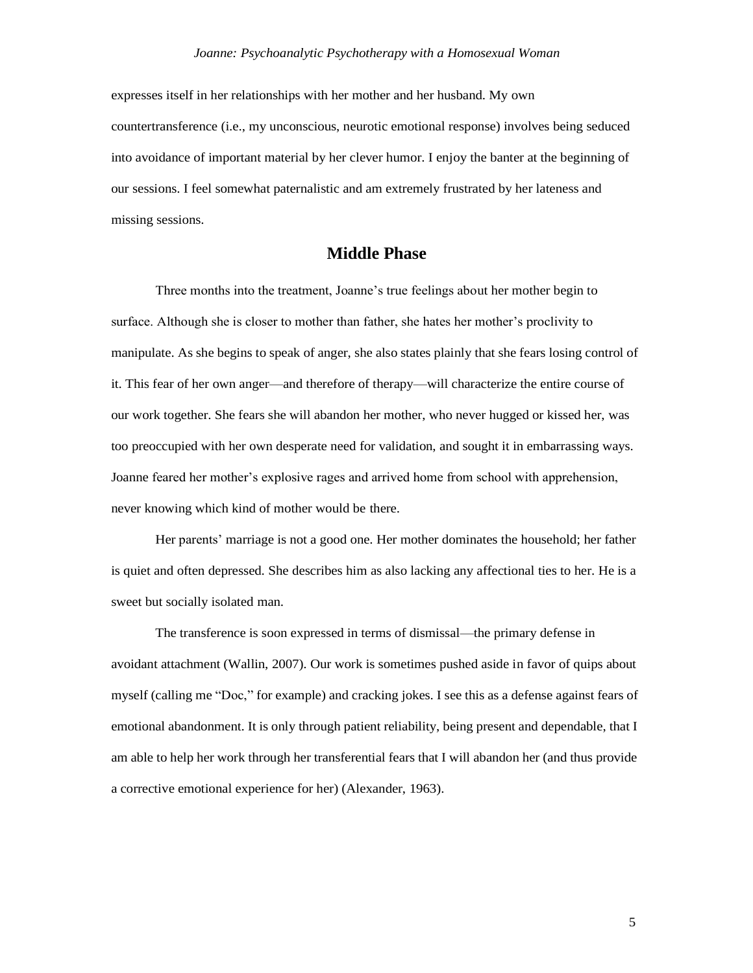expresses itself in her relationships with her mother and her husband. My own countertransference (i.e., my unconscious, neurotic emotional response) involves being seduced into avoidance of important material by her clever humor. I enjoy the banter at the beginning of our sessions. I feel somewhat paternalistic and am extremely frustrated by her lateness and missing sessions.

## **Middle Phase**

Three months into the treatment, Joanne's true feelings about her mother begin to surface. Although she is closer to mother than father, she hates her mother's proclivity to manipulate. As she begins to speak of anger, she also states plainly that she fears losing control of it. This fear of her own anger—and therefore of therapy—will characterize the entire course of our work together. She fears she will abandon her mother, who never hugged or kissed her, was too preoccupied with her own desperate need for validation, and sought it in embarrassing ways. Joanne feared her mother's explosive rages and arrived home from school with apprehension, never knowing which kind of mother would be there.

Her parents' marriage is not a good one. Her mother dominates the household; her father is quiet and often depressed. She describes him as also lacking any affectional ties to her. He is a sweet but socially isolated man.

The transference is soon expressed in terms of dismissal—the primary defense in avoidant attachment (Wallin, 2007). Our work is sometimes pushed aside in favor of quips about myself (calling me "Doc," for example) and cracking jokes. I see this as a defense against fears of emotional abandonment. It is only through patient reliability, being present and dependable, that I am able to help her work through her transferential fears that I will abandon her (and thus provide a corrective emotional experience for her) (Alexander, 1963).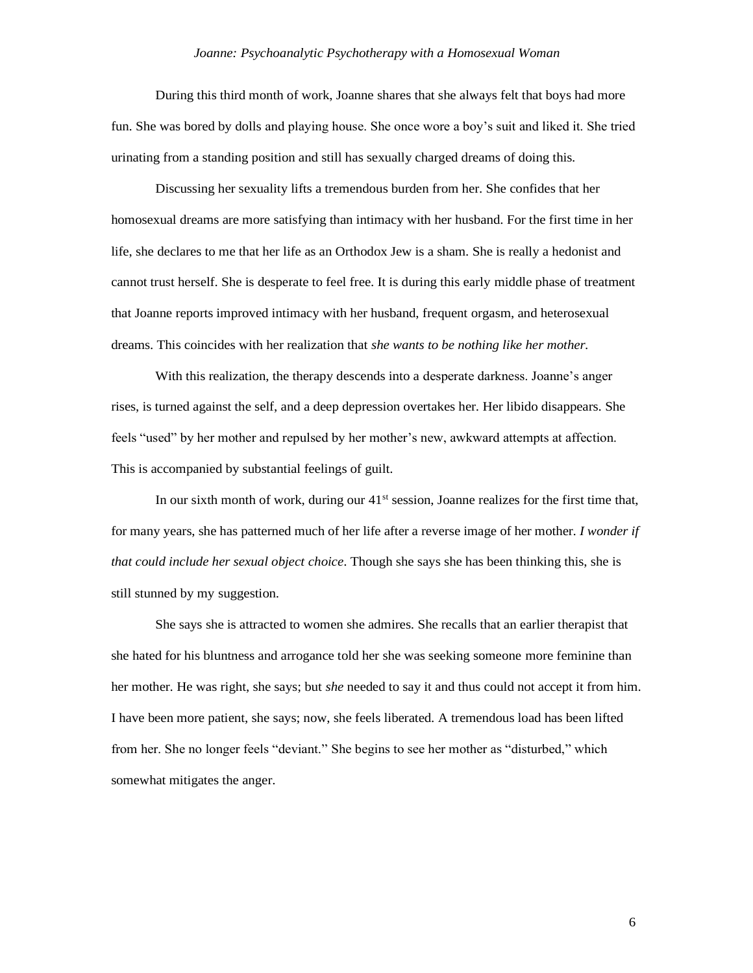During this third month of work, Joanne shares that she always felt that boys had more fun. She was bored by dolls and playing house. She once wore a boy's suit and liked it. She tried urinating from a standing position and still has sexually charged dreams of doing this.

Discussing her sexuality lifts a tremendous burden from her. She confides that her homosexual dreams are more satisfying than intimacy with her husband. For the first time in her life, she declares to me that her life as an Orthodox Jew is a sham. She is really a hedonist and cannot trust herself. She is desperate to feel free. It is during this early middle phase of treatment that Joanne reports improved intimacy with her husband, frequent orgasm, and heterosexual dreams. This coincides with her realization that *she wants to be nothing like her mother.*

With this realization, the therapy descends into a desperate darkness. Joanne's anger rises, is turned against the self, and a deep depression overtakes her. Her libido disappears. She feels "used" by her mother and repulsed by her mother's new, awkward attempts at affection. This is accompanied by substantial feelings of guilt.

In our sixth month of work, during our 41<sup>st</sup> session, Joanne realizes for the first time that, for many years, she has patterned much of her life after a reverse image of her mother. *I wonder if that could include her sexual object choice*. Though she says she has been thinking this, she is still stunned by my suggestion.

She says she is attracted to women she admires. She recalls that an earlier therapist that she hated for his bluntness and arrogance told her she was seeking someone more feminine than her mother. He was right, she says; but *she* needed to say it and thus could not accept it from him. I have been more patient, she says; now, she feels liberated. A tremendous load has been lifted from her. She no longer feels "deviant." She begins to see her mother as "disturbed," which somewhat mitigates the anger.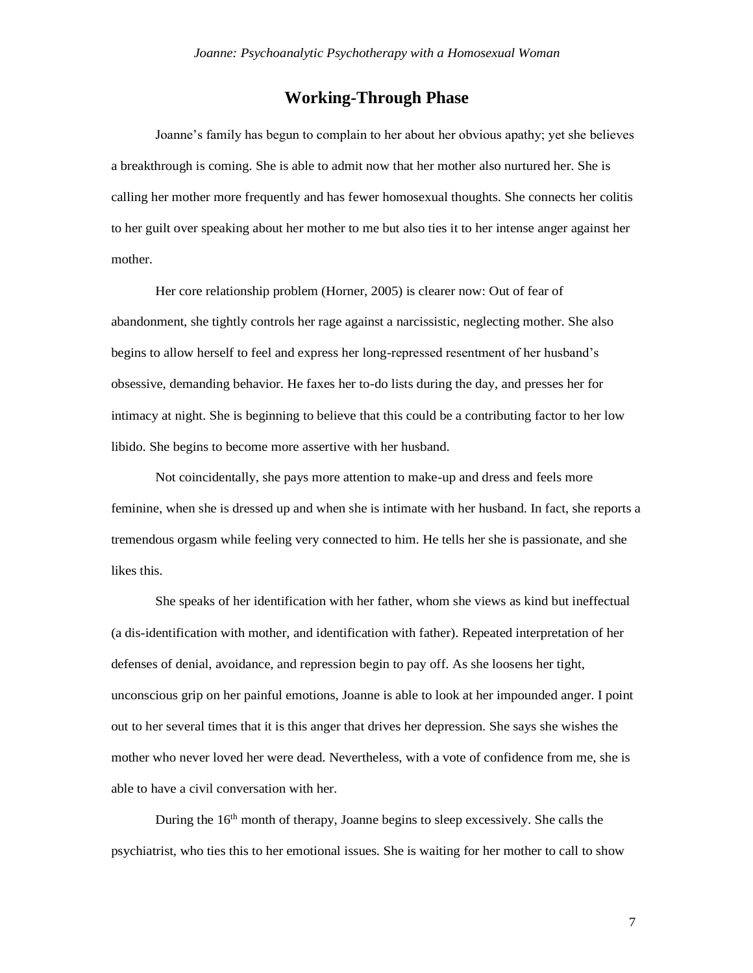# **Working-Through Phase**

Joanne's family has begun to complain to her about her obvious apathy; yet she believes a breakthrough is coming. She is able to admit now that her mother also nurtured her. She is calling her mother more frequently and has fewer homosexual thoughts. She connects her colitis to her guilt over speaking about her mother to me but also ties it to her intense anger against her mother.

Her core relationship problem (Horner, 2005) is clearer now: Out of fear of abandonment, she tightly controls her rage against a narcissistic, neglecting mother. She also begins to allow herself to feel and express her long-repressed resentment of her husband's obsessive, demanding behavior. He faxes her to-do lists during the day, and presses her for intimacy at night. She is beginning to believe that this could be a contributing factor to her low libido. She begins to become more assertive with her husband.

Not coincidentally, she pays more attention to make-up and dress and feels more feminine, when she is dressed up and when she is intimate with her husband. In fact, she reports a tremendous orgasm while feeling very connected to him. He tells her she is passionate, and she likes this.

She speaks of her identification with her father, whom she views as kind but ineffectual (a dis-identification with mother, and identification with father). Repeated interpretation of her defenses of denial, avoidance, and repression begin to pay off. As she loosens her tight, unconscious grip on her painful emotions, Joanne is able to look at her impounded anger. I point out to her several times that it is this anger that drives her depression. She says she wishes the mother who never loved her were dead. Nevertheless, with a vote of confidence from me, she is able to have a civil conversation with her.

During the 16th month of therapy, Joanne begins to sleep excessively. She calls the psychiatrist, who ties this to her emotional issues. She is waiting for her mother to call to show

7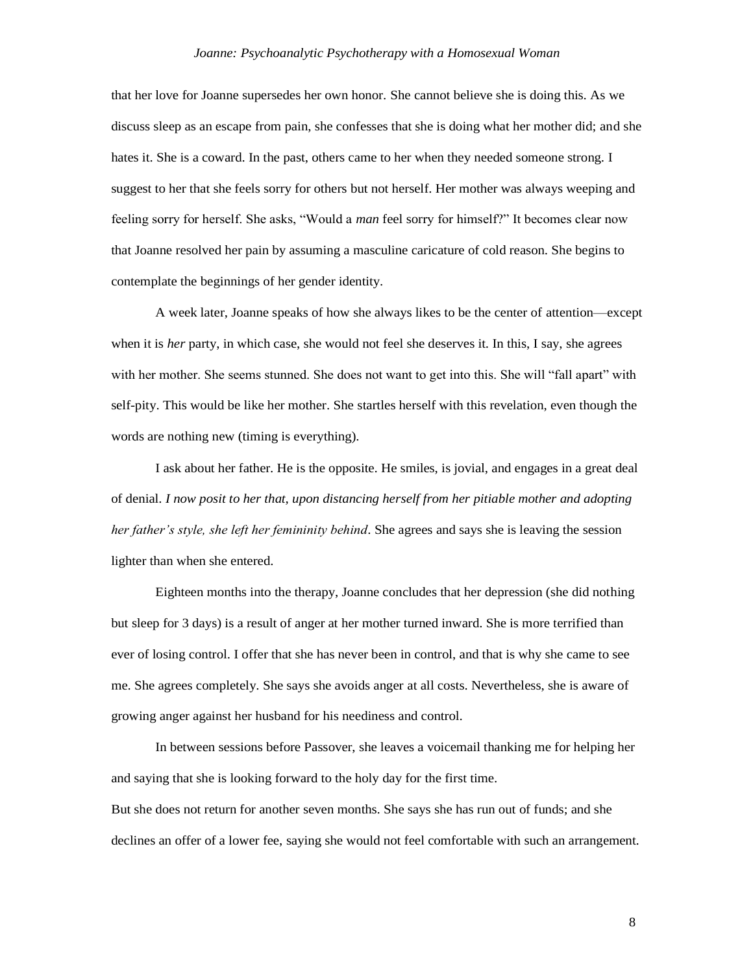that her love for Joanne supersedes her own honor*.* She cannot believe she is doing this. As we discuss sleep as an escape from pain, she confesses that she is doing what her mother did; and she hates it. She is a coward. In the past, others came to her when they needed someone strong. I suggest to her that she feels sorry for others but not herself. Her mother was always weeping and feeling sorry for herself. She asks, "Would a *man* feel sorry for himself?" It becomes clear now that Joanne resolved her pain by assuming a masculine caricature of cold reason. She begins to contemplate the beginnings of her gender identity.

A week later, Joanne speaks of how she always likes to be the center of attention—except when it is *her* party, in which case, she would not feel she deserves it. In this, I say, she agrees with her mother. She seems stunned. She does not want to get into this. She will "fall apart" with self-pity. This would be like her mother. She startles herself with this revelation, even though the words are nothing new (timing is everything).

I ask about her father. He is the opposite. He smiles, is jovial, and engages in a great deal of denial. *I now posit to her that, upon distancing herself from her pitiable mother and adopting her father's style, she left her femininity behind*. She agrees and says she is leaving the session lighter than when she entered.

Eighteen months into the therapy, Joanne concludes that her depression (she did nothing but sleep for 3 days) is a result of anger at her mother turned inward. She is more terrified than ever of losing control. I offer that she has never been in control, and that is why she came to see me. She agrees completely. She says she avoids anger at all costs. Nevertheless, she is aware of growing anger against her husband for his neediness and control.

In between sessions before Passover, she leaves a voicemail thanking me for helping her and saying that she is looking forward to the holy day for the first time.

But she does not return for another seven months. She says she has run out of funds; and she declines an offer of a lower fee, saying she would not feel comfortable with such an arrangement.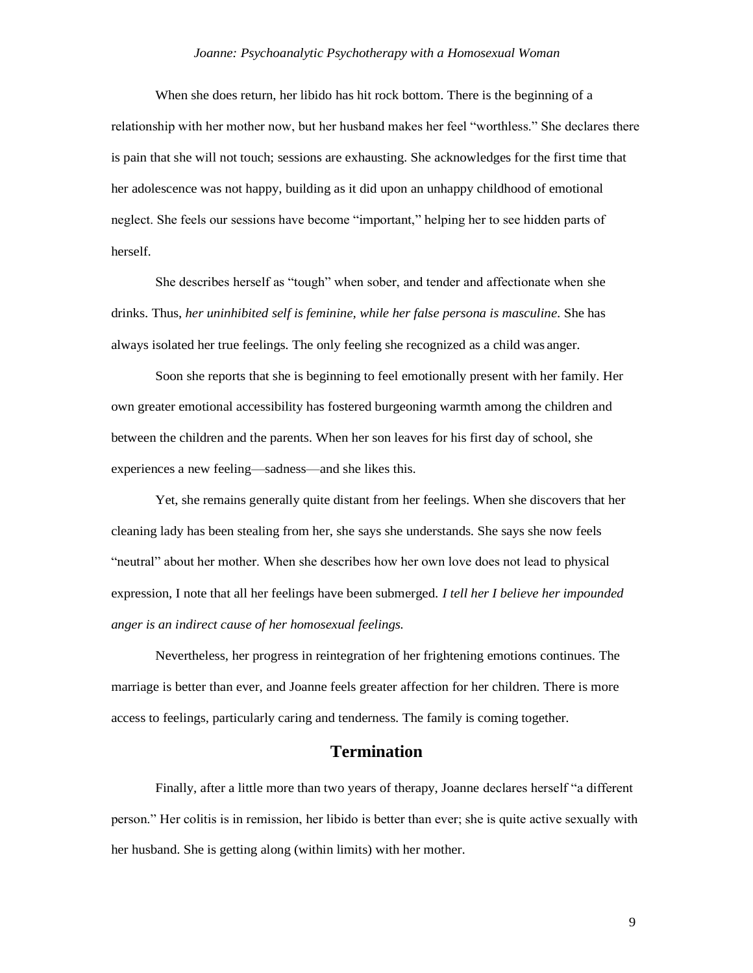When she does return, her libido has hit rock bottom. There is the beginning of a relationship with her mother now, but her husband makes her feel "worthless." She declares there is pain that she will not touch; sessions are exhausting. She acknowledges for the first time that her adolescence was not happy, building as it did upon an unhappy childhood of emotional neglect. She feels our sessions have become "important," helping her to see hidden parts of herself.

She describes herself as "tough" when sober, and tender and affectionate when she drinks. Thus, *her uninhibited self is feminine, while her false persona is masculine*. She has always isolated her true feelings. The only feeling she recognized as a child was anger.

Soon she reports that she is beginning to feel emotionally present with her family. Her own greater emotional accessibility has fostered burgeoning warmth among the children and between the children and the parents. When her son leaves for his first day of school, she experiences a new feeling—sadness—and she likes this.

Yet, she remains generally quite distant from her feelings. When she discovers that her cleaning lady has been stealing from her, she says she understands. She says she now feels "neutral" about her mother. When she describes how her own love does not lead to physical expression, I note that all her feelings have been submerged. *I tell her I believe her impounded anger is an indirect cause of her homosexual feelings.*

Nevertheless, her progress in reintegration of her frightening emotions continues. The marriage is better than ever, and Joanne feels greater affection for her children. There is more access to feelings, particularly caring and tenderness. The family is coming together.

## **Termination**

Finally, after a little more than two years of therapy, Joanne declares herself "a different person." Her colitis is in remission, her libido is better than ever; she is quite active sexually with her husband. She is getting along (within limits) with her mother.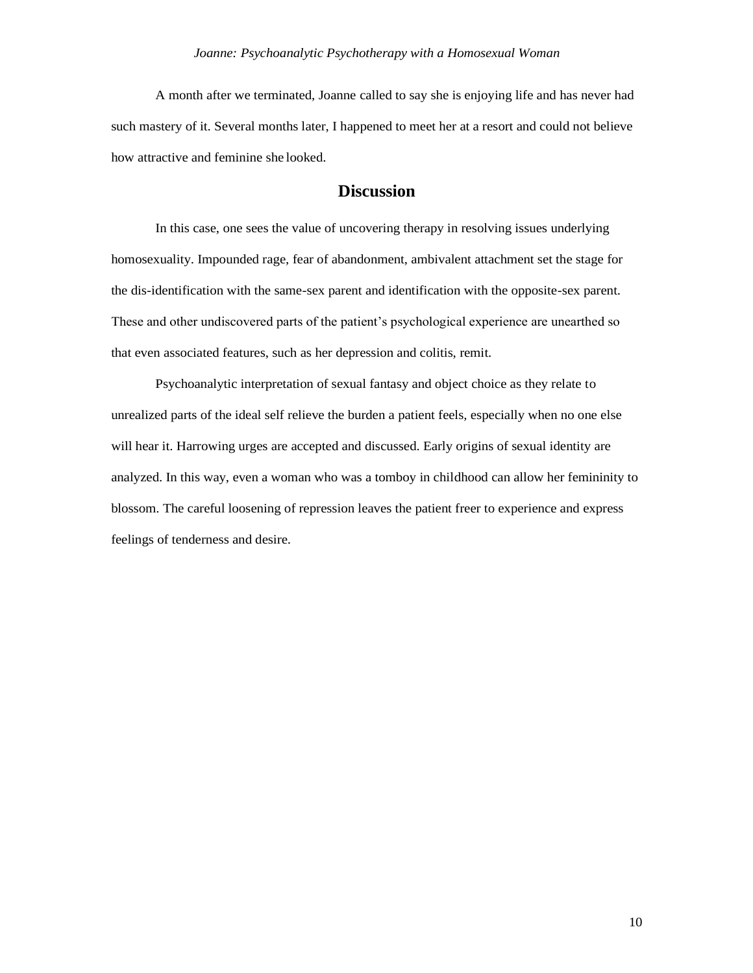A month after we terminated, Joanne called to say she is enjoying life and has never had such mastery of it. Several months later, I happened to meet her at a resort and could not believe how attractive and feminine she looked.

# **Discussion**

In this case, one sees the value of uncovering therapy in resolving issues underlying homosexuality. Impounded rage, fear of abandonment, ambivalent attachment set the stage for the dis-identification with the same-sex parent and identification with the opposite-sex parent. These and other undiscovered parts of the patient's psychological experience are unearthed so that even associated features, such as her depression and colitis, remit.

Psychoanalytic interpretation of sexual fantasy and object choice as they relate to unrealized parts of the ideal self relieve the burden a patient feels, especially when no one else will hear it. Harrowing urges are accepted and discussed. Early origins of sexual identity are analyzed. In this way, even a woman who was a tomboy in childhood can allow her femininity to blossom. The careful loosening of repression leaves the patient freer to experience and express feelings of tenderness and desire.